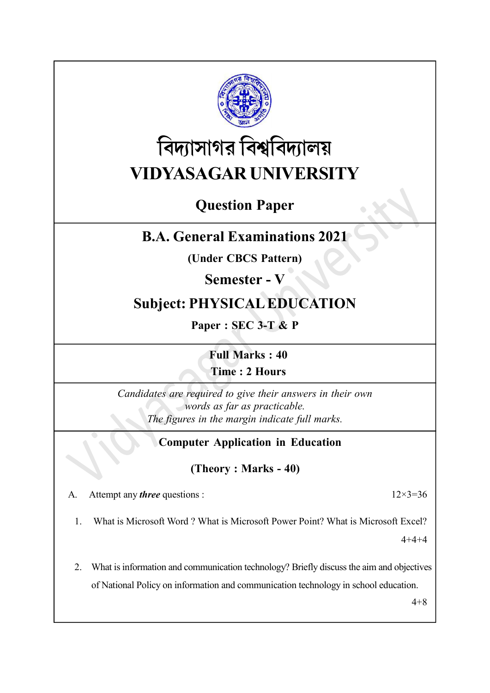

# বিদ্যাসাগর বিশ্ববিদ্যালয় VIDYASAGAR UNIVERSITY

## Question Paper

### B.A. General Examinations 2021

(Under CBCS Pattern)

Semester - V

#### Subject: PHYSICAL EDUCATION

Paper : SEC 3-T & P

Full Marks : 40 Time : 2 Hours

Candidates are required to give their answers in their own words as far as practicable. The figures in the margin indicate full marks.

#### Computer Application in Education

#### (Theory : Marks - 40)

A. Attempt any *three* questions :  $12 \times 3 = 36$ 

1. What is Microsoft Word ? What is Microsoft Power Point? What is Microsoft Excel?

4+4+4

2. What is information and communication technology? Briefly discuss the aim and objectives of National Policy on information and communication technology in school education.

4+8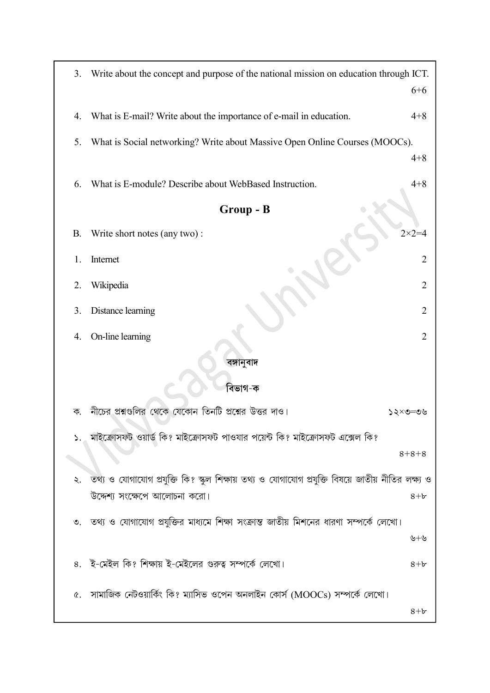| 3.         | Write about the concept and purpose of the national mission on education through ICT.                                              | $6 + 6$          |  |  |  |
|------------|------------------------------------------------------------------------------------------------------------------------------------|------------------|--|--|--|
| 4.         | What is E-mail? Write about the importance of e-mail in education.                                                                 | $4 + 8$          |  |  |  |
| 5.         | What is Social networking? Write about Massive Open Online Courses (MOOCs).                                                        | $4 + 8$          |  |  |  |
| 6.         | What is E-module? Describe about WebBased Instruction.                                                                             | $4 + 8$          |  |  |  |
| Group - B  |                                                                                                                                    |                  |  |  |  |
| <b>B.</b>  | Write short notes (any two):                                                                                                       | $2 \times 2 = 4$ |  |  |  |
| 1.         | Internet                                                                                                                           | $\overline{2}$   |  |  |  |
| 2.         | Wikipedia                                                                                                                          | 2                |  |  |  |
| 3.         | Distance learning                                                                                                                  | 2                |  |  |  |
| 4.         | On-line learning                                                                                                                   | $\overline{2}$   |  |  |  |
| বঙ্গানুবাদ |                                                                                                                                    |                  |  |  |  |
| বিভাগ-ক    |                                                                                                                                    |                  |  |  |  |
| ক.         | নীচের প্রশ্নগুলির থেকে যেকোন তিনটি প্রশ্নের উত্তর দাও।                                                                             | ১২×৩≔৩৬          |  |  |  |
|            | ১. মাইক্রোসফট ওয়ার্ড কি? মাইক্রোসফট পাওযার পয়েন্ট কি? মাইক্রোসফট এক্সেল কি?                                                      |                  |  |  |  |
|            |                                                                                                                                    | $8 + 8 + 8$      |  |  |  |
| ২.         | তথ্য ও যোগাযোগ প্রযুক্তি কি? স্কুল শিক্ষায় তথ্য ও যোগাযোগ প্রযুক্তি বিষয়ে জাতীয় নীতির লক্ষ্য ও<br>উদ্দেশ্য সংক্ষেপে আলোচনা করো। | $8 + b$          |  |  |  |
|            | ৩. তথ্য ও যোগাযোগ প্রযুক্তির মাধ্যমে শিক্ষা সংক্রান্ত জাতীয় মিশনের ধারণা সম্পর্কে লেখো।                                           |                  |  |  |  |
|            |                                                                                                                                    | ৬+৬              |  |  |  |
|            | ৪. ই-মেইল কি? শিক্ষায় ই-মেইলের গুরুত্ব সম্পর্কে লেখো।                                                                             | $8 + b$          |  |  |  |
| Q.         | ্সামাজিক নেটওয়ার্কিং কি? ম্যাসিভ ওপেন অনলাইন কোর্স (MOOCs) সম্পর্কে লেখো।                                                         |                  |  |  |  |
|            |                                                                                                                                    | $8+b$            |  |  |  |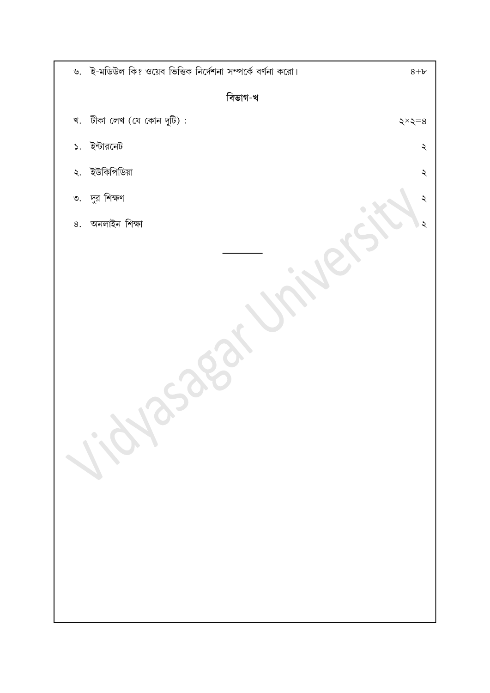| ৬. ই-মডিউল কি? ওয়েব ভিত্তিক নির্দেশনা সম্পর্কে বর্ণনা করো। | $8+b$                |  |  |  |  |  |
|-------------------------------------------------------------|----------------------|--|--|--|--|--|
| বিভাগ-খ                                                     |                      |  |  |  |  |  |
| খ. টীকা লেখ (যে কোন দুটি):                                  | $\xi \times \xi = 8$ |  |  |  |  |  |
| ১. ইন্টারনেট                                                | $\boldsymbol{\zeta}$ |  |  |  |  |  |
| ২. ইউকিপিডিয়া                                              | $\boldsymbol{\zeta}$ |  |  |  |  |  |
| ৩. দুর শিক্ষণ                                               | ২                    |  |  |  |  |  |
| ৪. অনলাইন শিক্ষা                                            | ২                    |  |  |  |  |  |
|                                                             |                      |  |  |  |  |  |
|                                                             |                      |  |  |  |  |  |
|                                                             |                      |  |  |  |  |  |
|                                                             |                      |  |  |  |  |  |
|                                                             |                      |  |  |  |  |  |
|                                                             |                      |  |  |  |  |  |
|                                                             |                      |  |  |  |  |  |
|                                                             |                      |  |  |  |  |  |
| roi                                                         |                      |  |  |  |  |  |
|                                                             |                      |  |  |  |  |  |
|                                                             |                      |  |  |  |  |  |
|                                                             |                      |  |  |  |  |  |
|                                                             |                      |  |  |  |  |  |
|                                                             |                      |  |  |  |  |  |
|                                                             |                      |  |  |  |  |  |
|                                                             |                      |  |  |  |  |  |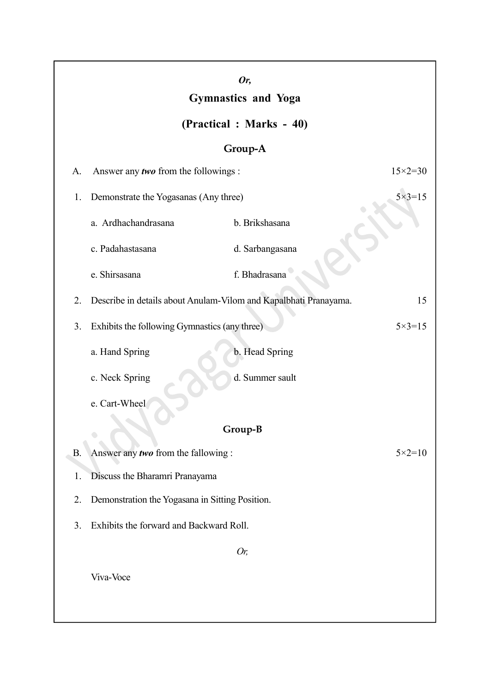| Or,<br><b>Gymnastics and Yoga</b> |                                                                    |                 |                    |  |  |  |
|-----------------------------------|--------------------------------------------------------------------|-----------------|--------------------|--|--|--|
| (Practical : Marks - 40)          |                                                                    |                 |                    |  |  |  |
| Group-A                           |                                                                    |                 |                    |  |  |  |
| A.                                | Answer any two from the followings :                               |                 | $15 \times 2 = 30$ |  |  |  |
| 1.                                | Demonstrate the Yogasanas (Any three)                              |                 | $5 \times 3 = 15$  |  |  |  |
|                                   | a. Ardhachandrasana                                                | b. Brikshasana  |                    |  |  |  |
|                                   | c. Padahastasana                                                   | d. Sarbangasana |                    |  |  |  |
|                                   | e. Shirsasana                                                      | f. Bhadrasana   |                    |  |  |  |
| 2.                                | Describe in details about Anulam-Vilom and Kapalbhati Pranayama.   |                 | 15                 |  |  |  |
| 3.                                | Exhibits the following Gymnastics (any three)<br>$5 \times 3 = 15$ |                 |                    |  |  |  |
|                                   | a. Hand Spring                                                     | b. Head Spring  |                    |  |  |  |
|                                   | c. Neck Spring                                                     | d. Summer sault |                    |  |  |  |
|                                   | e. Cart-Wheel                                                      |                 |                    |  |  |  |
| Group-B                           |                                                                    |                 |                    |  |  |  |
| <b>B.</b>                         | Answer any two from the fallowing:                                 |                 | $5 \times 2 = 10$  |  |  |  |
| 1.                                | Discuss the Bharamri Pranayama                                     |                 |                    |  |  |  |
| 2.                                | Demonstration the Yogasana in Sitting Position.                    |                 |                    |  |  |  |
| 3.                                | Exhibits the forward and Backward Roll.                            |                 |                    |  |  |  |
| Or,                               |                                                                    |                 |                    |  |  |  |
|                                   | Viva-Voce                                                          |                 |                    |  |  |  |
|                                   |                                                                    |                 |                    |  |  |  |